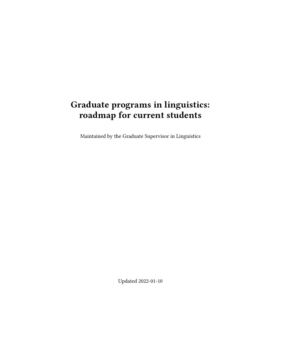# **Graduate programs in linguistics: roadmap for current students**

Maintained by the Graduate Supervisor in Linguistics

Updated 2022-01-10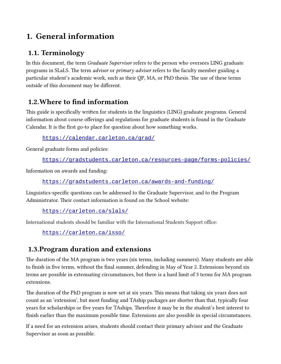# **1. General information**

## **1.1. Terminology**

In this document, the term *Graduate Supervisor* refers to the person who oversees LING graduate programs in SLaLS. The term *advisor* or *primary advisor* refers to the faculty member guiding a particular student's academic work, such as their QP, MA, or PhD thesis. The use of these terms outside of this document may be different.

## **1.2.Where to find information**

This guide is specifically written for students in the linguistics (LING) graduate programs. General information about course offerings and regulations for graduate students is found in the Graduate Calendar. It is the first go-to place for question about how something works.

<https://calendar.carleton.ca/grad/>

General graduate forms and policies:

```
https://gradstudents.carleton.ca/resources-page/forms-policies/
```
Information on awards and funding:

### <https://gradstudents.carleton.ca/awards-and-funding/>

Linguistics-specific questions can be addressed to the Graduate Supervisor, and to the Program Administrator. Their contact information is found on the School website:

<https://carleton.ca/slals/>

International students should be familiar with the International Students Support office:

<https://carleton.ca/isso/>

## **1.3.Program duration and extensions**

The duration of the MA program is two years (six terms, including summers). Many students are able to finish in five terms, without the final summer, defending in May of Year 2. Extensions beyond six terms are possible in extenuating circumstances, but there is a hard limit of 3 terms for MA program extensions.

The duration of the PhD program is now set at six years. This means that taking six years does not count as an 'extension', but most funding and TAship packages are shorter than that, typically four years for scholarships or five years for TAships. Therefore it may be in the student's best interest to finish earlier than the maximum possible time. Extensions are also possible in special circumstances.

If a need for an extension arises, students should contact their primary advisor and the Graduate Supervisor as soon as possible.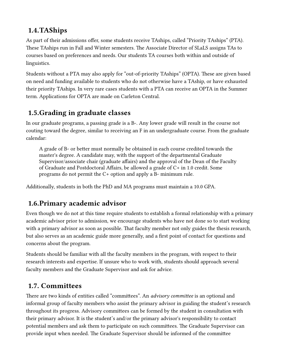## **1.4.TAShips**

As part of their admissions offer, some students receive TAships, called "Priority TAships" (PTA). These TAships run in Fall and Winter semesters. The Associate Director of SLaLS assigns TAs to courses based on preferences and needs. Our students TA courses both within and outside of linguistics.

Students without a PTA may also apply for "out-of-priority TAships" (OPTA). These are given based on need and funding available to students who do not otherwise have a TAship, or have exhausted their priority TAships. In very rare cases students with a PTA can receive an OPTA in the Summer term. Applications for OPTA are made on Carleton Central.

## **1.5.Grading in graduate classes**

In our graduate programs, a passing grade is a B-. Any lower grade will result in the course not couting toward the degree, similar to receiving an F in an undergraduate course. From the graduate calendar:

A grade of B- or better must normally be obtained in each course credited towards the master's degree. A candidate may, with the support of the departmental Graduate Supervisor/associate chair (graduate affairs) and the approval of the Dean of the Faculty of Graduate and Postdoctoral Affairs, be allowed a grade of C+ in 1.0 credit. Some programs do not permit the C+ option and apply a B- minimum rule.

Additionally, students in both the PhD and MA programs must maintain a 10.0 GPA.

### **1.6.Primary academic advisor**

Even though we do not at this time require students to establish a formal relationship with a primary academic advisor prior to admission, we encourage students who have not done so to start working with a primary advisor as soon as possible. That faculty member not only guides the thesis research, but also serves as an academic guide more generally, and a first point of contact for questions and concerns about the program.

Students should be familiar with all the faculty members in the program, with respect to their research interests and expertise. If unsure who to work with, students should approach several faculty members and the Graduate Supervisor and ask for advice.

### **1.7. Committees**

There are two kinds of entities called "committees". An *advisory committee* is an optional and informal group of faculty members who assist the primary advisor in guiding the student's research throughout its progress. Advisory committees can be formed by the student in consultation with their primary advisor. It is the student's and/or the primary advisor's responsibility to contact potential members and ask them to participate on such committees. The Graduate Supervisor can provide input when needed. The Graduate Supervisor should be informed of the committee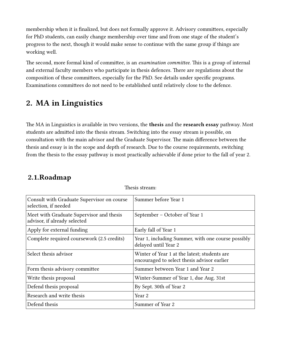membership when it is finalized, but does not formally approve it. Advisory committees, especially for PhD students, can easily change membership over time and from one stage of the student's progress to the next, though it would make sense to continue with the same group if things are working well.

The second, more formal kind of committee, is an *examination committee*. This is a group of internal and external faculty members who participate in thesis defences. There are regulations about the composition of these committees, especially for the PhD. See details under specific programs. Examinations committees do not need to be established until relatively close to the defence.

## **2. MA in Linguistics**

The MA in Linguistics is available in two versions, the **thesis** and the **research essay** pathway. Most students are admitted into the thesis stream. Switching into the essay stream is possible, on consultation with the main advisor and the Graduate Supervisor. The main difference between the thesis and essay is in the scope and depth of research. Due to the course requirements, switching from the thesis to the essay pathway is most practically achievable if done prior to the fall of year 2.

### **2.1.Roadmap**

| Consult with Graduate Supervisor on course<br>selection, if needed       | Summer before Year 1                                                                        |
|--------------------------------------------------------------------------|---------------------------------------------------------------------------------------------|
| Meet with Graduate Supervisor and thesis<br>advisor, if already selected | September – October of Year 1                                                               |
| Apply for external funding                                               | Early fall of Year 1                                                                        |
| Complete required coursework (2.5 credits)                               | Year 1, including Summer, with one course possibly<br>delayed until Year 2                  |
| Select thesis advisor                                                    | Winter of Year 1 at the latest; students are<br>encouraged to select thesis advisor earlier |
| Form thesis advisory committee                                           | Summer between Year 1 and Year 2                                                            |
| Write thesis proposal                                                    | Winter-Summer of Year 1, due Aug. 31st                                                      |
| Defend thesis proposal                                                   | By Sept. 30th of Year 2                                                                     |
| Research and write thesis                                                | Year 2                                                                                      |
| Defend thesis                                                            | Summer of Year 2                                                                            |

Thesis stream: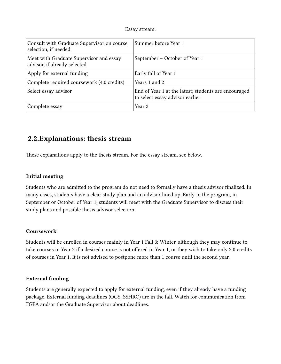#### Essay stream:

| Consult with Graduate Supervisor on course<br>selection, if needed      | Summer before Year 1                                                                    |
|-------------------------------------------------------------------------|-----------------------------------------------------------------------------------------|
| Meet with Graduate Supervisor and essay<br>advisor, if already selected | September – October of Year 1                                                           |
| Apply for external funding                                              | Early fall of Year 1                                                                    |
| Complete required coursework (4.0 credits)                              | Years 1 and 2                                                                           |
| Select essay advisor                                                    | End of Year 1 at the latest; students are encouraged<br>to select essay advisor earlier |
| Complete essay                                                          | Year 2                                                                                  |

### **2.2.Explanations: thesis stream**

These explanations apply to the thesis stream. For the essay stream, see below.

#### **Initial meeting**

Students who are admitted to the program do not need to formally have a thesis advisor finalized. In many cases, students have a clear study plan and an advisor lined up. Early in the program, in September or October of Year 1, students will meet with the Graduate Supervisor to discuss their study plans and possible thesis advisor selection.

#### **Coursework**

Students will be enrolled in courses mainly in Year 1 Fall & Winter, although they may continue to take courses in Year 2 if a desired course is not offered in Year 1, or they wish to take only 2.0 credits of courses in Year 1. It is not advised to postpone more than 1 course until the second year.

#### **External funding**

Students are generally expected to apply for external funding, even if they already have a funding package. External funding deadlines (OGS, SSHRC) are in the fall. Watch for communication from FGPA and/or the Graduate Supervisor about deadlines.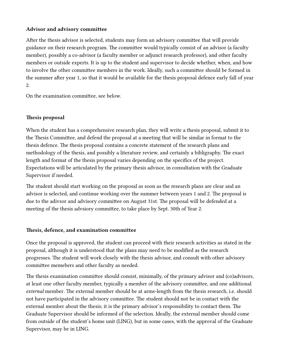#### **Advisor and advisory committee**

After the thesis advisor is selected, students may form an advisory committee that will provide guidance on their research program. The committee would typically consist of an advisor (a faculty member), possibly a co-advisor (a faculty member or adjunct research professor), and other faculty members or outside experts. It is up to the student and supervisor to decide whether, when, and how to involve the other committee members in the work. Ideally, such a committee should be formed in the summer after year 1, so that it would be available for the thesis proposal defence early fall of year 2.

On the examination committee, see below.

#### **Thesis proposal**

When the student has a comprehensive research plan, they will write a thesis proposal, submit it to the Thesis Committee, and defend the proposal at a meeting that will be similar in format to the thesis defence. The thesis proposal contains a concrete statement of the research plans and methodology of the thesis, and possibly a literature review, and certainly a bibligraphy. The exact length and format of the thesis proposal varies depending on the specifics of the project. Expectations will be articulated by the primary thesis advisor, in consultation with the Graduate Supervisor if needed.

The student should start working on the proposal as soon as the research plans are clear and an advisor is selected, and continue working over the summer between years 1 and 2. The proposal is due to the adivsor and advisory committee on August 31st. The proposal will be defended at a meeting of the thesis advsiory committee, to take place by Sept. 30th of Year 2.

#### **Thesis, defence, and examination committee**

Once the proposal is approved, the student can proceed with their research activities as stated in the proposal, although it is understood that the plans may need to be modified as the research progresses. The student will work closely with the thesis advisor, and consult with other advisory committee memebers and other faculty as needed.

The thesis examination committee should consist, minimally, of the primary advisor and (co)advisors, at least one other faculty member, typically a member of the advisory committee, and one additional *external* member. The external member should be at arms-length from the thesis research, i.e. should not have participated in the advisory committee. The student should not be in contact with the external member about the thesis; it is the primary advisor's responsibility to contact them. The Graduate Supervisor should be informed of the selection. Ideally, the external member should come from outside of the student's home unit (LING), but in some cases, with the approval of the Graduate Supervisor, may be in LING.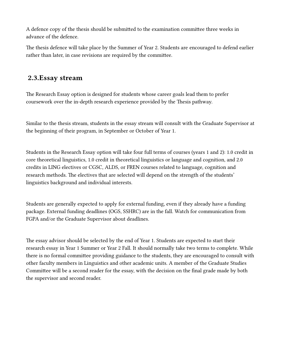A defence copy of the thesis should be submitted to the examination committee three weeks in advance of the defence.

The thesis defence will take place by the Summer of Year 2. Students are encouraged to defend earlier rather than later, in case revisions are required by the committee.

### **2.3.Essay stream**

The Research Essay option is designed for students whose career goals lead them to prefer coursework over the in-depth research experience provided by the Thesis pathway.

Similar to the thesis stream, students in the essay stream will consult with the Graduate Supervisor at the beginning of their program, in September or October of Year 1.

Students in the Research Essay option will take four full terms of courses (years 1 and 2): 1.0 credit in core theoretical linguistics, 1.0 credit in theoretical linguistics or language and cognition, and 2.0 credits in LING electives or CGSC, ALDS, or FREN courses related to language, cognition and research methods. The electives that are selected will depend on the strength of the students' linguistics background and individual interests.

Students are generally expected to apply for external funding, even if they already have a funding package. External funding deadlines (OGS, SSHRC) are in the fall. Watch for communication from FGPA and/or the Graduate Supervisor about deadlines.

The essay advisor should be selected by the end of Year 1. Students are expected to start their research essay in Year 1 Summer or Year 2 Fall. It should normally take two terms to complete. While there is no formal committee providing guidance to the students, they are encouraged to consult with other faculty members in Linguistics and other academic units. A member of the Graduate Studies Committee will be a second reader for the essay, with the decision on the final grade made by both the supervisor and second reader.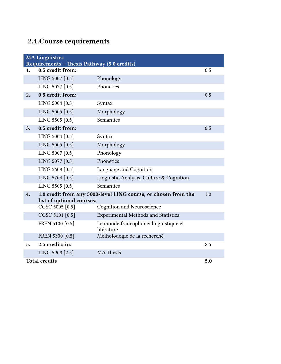# **2.4.Course requirements**

| <b>MA Linguistics</b> |                                                                 |                                                                |     |
|-----------------------|-----------------------------------------------------------------|----------------------------------------------------------------|-----|
| 1.                    | Requirements - Thesis Pathway (5.0 credits)<br>0.5 credit from: |                                                                | 0.5 |
|                       | LING 5007 [0.5]                                                 | Phonology                                                      |     |
|                       | LING 5077 [0.5]                                                 | Phonetics                                                      |     |
| 2.                    | 0.5 credit from:                                                |                                                                | 0.5 |
|                       |                                                                 |                                                                |     |
|                       | LING 5004 [0.5]                                                 | Syntax                                                         |     |
|                       | LING 5005 [0.5]                                                 | Morphology                                                     |     |
|                       | LING 5505 [0.5]                                                 | Semantics                                                      |     |
| 3.                    | 0.5 credit from:                                                |                                                                | 0.5 |
|                       | LING 5004 [0.5]                                                 | Syntax                                                         |     |
|                       | LING 5005 [0.5]                                                 | Morphology                                                     |     |
|                       | LING 5007 [0.5]                                                 | Phonology                                                      |     |
|                       | LING 5077 [0.5]                                                 | Phonetics                                                      |     |
|                       | LING 5608 [0.5]                                                 | Language and Cognition                                         |     |
|                       | LING 5704 [0.5]                                                 | Linguistic Analysis, Culture & Cognition                       |     |
|                       | LING 5505 [0.5]                                                 | Semantics                                                      |     |
| 4.                    |                                                                 | 1.0 credit from any 5000-level LING course, or chosen from the | 1.0 |
|                       | list of optional courses:                                       |                                                                |     |
|                       | CGSC 5005 [0.5]                                                 | <b>Cognition and Neuroscience</b>                              |     |
|                       | CGSC 5101 [0.5]                                                 | <b>Experimental Methods and Statistics</b>                     |     |
|                       | FREN 5100 [0.5]                                                 | Le monde francophone: linguistique et<br>litérature            |     |
|                       | FREN 5300 [0.5]                                                 | Métholodogie de la recherché                                   |     |
| 5.                    | 2.5 credits in:                                                 |                                                                | 2.5 |
|                       | LING 5909 [2.5]                                                 | <b>MA</b> Thesis                                               |     |
|                       | <b>Total credits</b><br>5.0                                     |                                                                |     |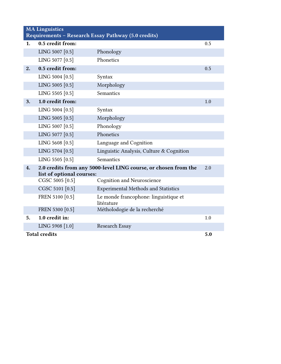| <b>MA Linguistics</b><br>Requirements - Research Essay Pathway (5.0 credits) |                                              |                                                                 |     |
|------------------------------------------------------------------------------|----------------------------------------------|-----------------------------------------------------------------|-----|
| 1.                                                                           | 0.5 credit from:                             |                                                                 | 0.5 |
|                                                                              | LING 5007 [0.5]                              | Phonology                                                       |     |
|                                                                              | LING 5077 [0.5]                              | Phonetics                                                       |     |
| 2.                                                                           | 0.5 credit from:                             |                                                                 | 0.5 |
|                                                                              | LING 5004 [0.5]                              | Syntax                                                          |     |
|                                                                              | LING 5005 [0.5]                              | Morphology                                                      |     |
|                                                                              | LING 5505 [0.5]                              | Semantics                                                       |     |
| 3.                                                                           | 1.0 credit from:                             |                                                                 | 1.0 |
|                                                                              | LING 5004 [0.5]                              | Syntax                                                          |     |
|                                                                              | LING 5005 [0.5]                              | Morphology                                                      |     |
|                                                                              | LING 5007 [0.5]                              | Phonology                                                       |     |
|                                                                              | LING 5077 [0.5]                              | Phonetics                                                       |     |
|                                                                              | LING 5608 [0.5]                              | Language and Cognition                                          |     |
|                                                                              | LING 5704 [0.5]                              | Linguistic Analysis, Culture & Cognition                        |     |
|                                                                              | LING 5505 [0.5]                              | Semantics                                                       |     |
| 4.                                                                           |                                              | 2.0 credits from any 5000-level LING course, or chosen from the | 2.0 |
|                                                                              | list of optional courses:<br>CGSC 5005 [0.5] | <b>Cognition and Neuroscience</b>                               |     |
|                                                                              | CGSC 5101 [0.5]                              | <b>Experimental Methods and Statistics</b>                      |     |
|                                                                              | FREN 5100 [0.5]                              | Le monde francophone: linguistique et                           |     |
|                                                                              |                                              | litérature                                                      |     |
|                                                                              | FREN 5300 [0.5]                              | Métholodogie de la recherché                                    |     |
| 5.                                                                           | 1.0 credit in:                               |                                                                 | 1.0 |
|                                                                              | LING 5908 [1.0]                              | Research Essay                                                  |     |
| <b>Total credits</b>                                                         |                                              | 5.0                                                             |     |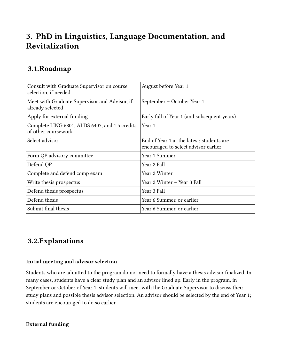# **3. PhD in Linguistics, Language Documentation, and Revitalization**

## **3.1.Roadmap**

| Consult with Graduate Supervisor on course<br>selection, if needed    | August before Year 1                                                              |
|-----------------------------------------------------------------------|-----------------------------------------------------------------------------------|
| Meet with Graduate Supervisor and Advisor, if<br>already selected     | September – October Year 1                                                        |
| Apply for external funding                                            | Early fall of Year 1 (and subsequent years)                                       |
| Complete LING 6801, ALDS 6407, and 1.5 credits<br>of other coursework | Year 1                                                                            |
| Select advisor                                                        | End of Year 1 at the latest; students are<br>encouraged to select advisor earlier |
| Form QP advisory committee                                            | Year 1 Summer                                                                     |
| Defend QP                                                             | Year 2 Fall                                                                       |
| Complete and defend comp exam                                         | Year 2 Winter                                                                     |
| Write thesis prospectus                                               | Year 2 Winter - Year 3 Fall                                                       |
| Defend thesis prospectus                                              | Year 3 Fall                                                                       |
| Defend thesis                                                         | Year 6 Summer, or earlier                                                         |
| Submit final thesis                                                   | Year 6 Summer, or earlier                                                         |

### **3.2.Explanations**

#### **Initial meeting and advisor selection**

Students who are admitted to the program do not need to formally have a thesis advisor finalized. In many cases, students have a clear study plan and an advisor lined up. Early in the program, in September or October of Year 1, students will meet with the Graduate Supervisor to discuss their study plans and possible thesis advisor selection. An advisor should be selected by the end of Year 1; students are encouraged to do so earlier.

#### **External funding**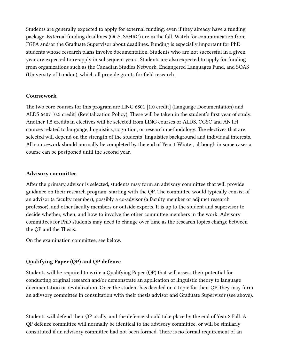Students are generally expected to apply for external funding, even if they already have a funding package. External funding deadlines (OGS, SSHRC) are in the fall. Watch for communication from FGPA and/or the Graduate Supervisor about deadlines. Funding is especially important for PhD students whose research plans involve documentation. Students who are not successful in a given year are expected to re-apply in subsequent years. Students are also expected to apply for funding from organizations such as the Canadian Studies Network, Endangered Languages Fund, and SOAS (University of London), which all provide grants for field research.

#### **Coursework**

The two core courses for this program are LING 6801 [1.0 credit] (Language Documentation) and ALDS 6407 [0.5 credit] (Revitalization Policy). These will be taken in the student's first year of study. Another 1.5 credits in electives will be selected from LING courses or ALDS, CGSC and ANTH courses related to language, linguistics, cognition, or research methodology. The electives that are selected will depend on the strength of the students' linguistics background and individual interests. All coursework should normally be completed by the end of Year 1 Winter, although in some cases a course can be postponed until the second year.

#### **Advisory committee**

After the primary advisor is selected, students may form an advisory committee that will provide guidance on their research program, starting with the QP. The committee would typically consist of an advisor (a faculty member), possibly a co-advisor (a faculty member or adjunct research professor), and other faculty members or outside experts. It is up to the student and supervisor to decide whether, when, and how to involve the other committee members in the work. Advisory committees for PhD students may need to change over time as the research topics change between the QP and the Thesis.

On the examination committee, see below.

#### **Qualifying Paper (QP) and QP defence**

Students will be required to write a Qualifying Paper (QP) that will assess their potential for conducting original research and/or demonstrate an application of linguistic theory to language documentation or revitalization. Once the student has decided on a topic for their QP, they may form an adivsory committee in consultation with their thesis advisor and Graduate Supervisor (see above).

Students will defend their QP orally, and the defence should take place by the end of Year 2 Fall. A QP defence committee will normally be identical to the advisory committee, or will be similarly constituted if an advisory committee had not been formed. There is no formal requirement of an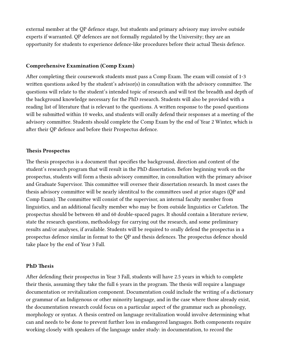external member at the QP defence stage, but students and primary advisory may involve outside experts if warranted. QP defences are not formally regulated by the University; they are an opportunity for students to experience defence-like procedures before their actual Thesis defence.

#### **Comprehensive Examination (Comp Exam)**

After completing their coursework students must pass a Comp Exam. The exam will consist of 1-3 written questions asked by the student's advisor(s) in consultation with the advisory committee. The questions will relate to the student's intended topic of research and will test the breadth and depth of the background knowledge necessary for the PhD research. Students will also be provided with a reading list of literature that is relevant to the questions. A written response to the posed questions will be submitted within 10 weeks, and students will orally defend their responses at a meeting of the advisory committee. Students should complete the Comp Exam by the end of Year 2 Winter, which is after their QP defence and before their Prospectus defence.

#### **Thesis Prospectus**

The thesis prospectus is a document that specifies the background, direction and content of the student's research program that will result in the PhD dissertation. Before beginning work on the prospectus, students will form a thesis advisory committee, in consultation with the primary advisor and Graduate Supervisor. This committee will oversee their dissertation research. In most cases the thesis advisory committee will be nearly identitcal to the committees used at prior stages (QP and Comp Exam). The committee will consist of the supervisor, an internal faculty member from linguistics, and an additional faculty member who may be from outside linguistics or Carleton. The prospectus should be between 40 and 60 double-spaced pages. It should contain a literature review, state the research questions, methodology for carrying out the research, and some preliminary results and/or analyses, if available. Students will be required to orally defend the prospectus in a prospectus defence similar in format to the QP and thesis defences. The prospectus defence should take place by the end of Year 3 Fall.

#### **PhD Thesis**

After defending their prospectus in Year 3 Fall, students will have 2.5 years in which to complete their thesis, assuming they take the full 6 years in the program. The thesis will require a language documentation or revitalization component. Documentation could include the writing of a dictionary or grammar of an Indigenous or other minority language, and in the case where those already exist, the documentation research could focus on a particular aspect of the grammar such as phonology, morphology or syntax. A thesis centred on language revitalization would involve determining what can and needs to be done to prevent further loss in endangered languages. Both components require working closely with speakers of the language under study: in documentation, to record the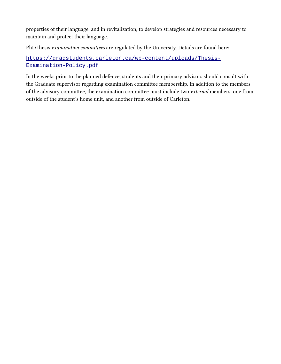properties of their language, and in revitalization, to develop strategies and resources necessary to maintain and protect their language.

PhD thesis *examination committees* are regulated by the University. Details are found here:

### [https://gradstudents.carleton.ca/wp-content/uploads/Thesis-](https://gradstudents.carleton.ca/wp-content/uploads/Thesis-Examination-Policy.pdf)[Examination-Policy.pdf](https://gradstudents.carleton.ca/wp-content/uploads/Thesis-Examination-Policy.pdf)

In the weeks prior to the planned defence, students and their primary advisors should consult with the Graduate supervisor regarding examination committee membership. In addition to the members of the advisory committee, the examination committee must include two *external* members, one from outside of the student's home unit, and another from outside of Carleton.